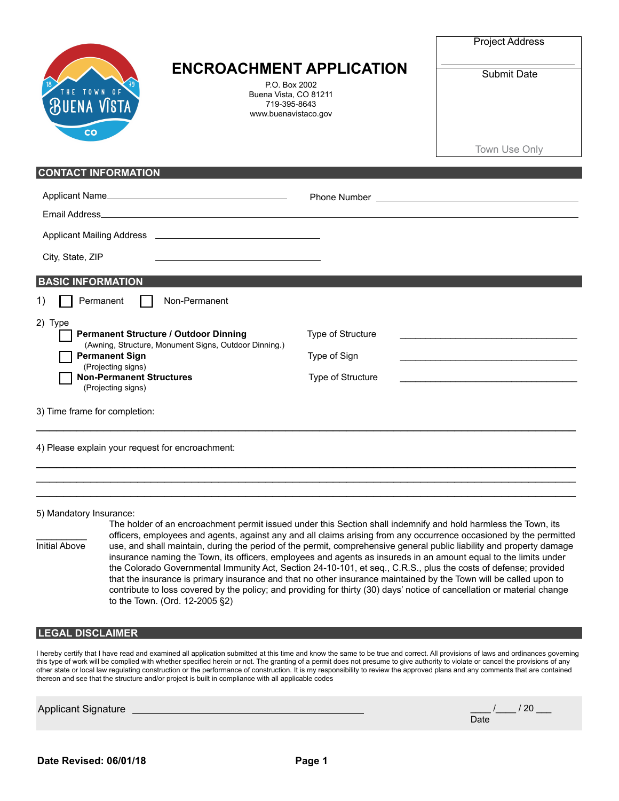|                                                                                                                                                                                                                          | <b>ENCROACHMENT APPLICATION</b><br>P.O. Box 2002<br>Buena Vista, CO 81211<br>719-395-8643<br>www.buenavistaco.gov |                   | <b>Project Address</b> |
|--------------------------------------------------------------------------------------------------------------------------------------------------------------------------------------------------------------------------|-------------------------------------------------------------------------------------------------------------------|-------------------|------------------------|
| THE TOWN OF<br><b>BUENA VISTA</b><br>CO                                                                                                                                                                                  |                                                                                                                   |                   | Submit Date            |
|                                                                                                                                                                                                                          |                                                                                                                   |                   | Town Use Only          |
| <b>CONTACT INFORMATION</b>                                                                                                                                                                                               |                                                                                                                   |                   |                        |
| Email Address_                                                                                                                                                                                                           |                                                                                                                   |                   |                        |
|                                                                                                                                                                                                                          |                                                                                                                   |                   |                        |
| City, State, ZIP                                                                                                                                                                                                         |                                                                                                                   |                   |                        |
| <b>BASIC INFORMATION</b>                                                                                                                                                                                                 |                                                                                                                   |                   |                        |
| Permanent<br>1)                                                                                                                                                                                                          | Non-Permanent                                                                                                     |                   |                        |
| 2) Type<br><b>Permanent Structure / Outdoor Dinning</b><br>(Awning, Structure, Monument Signs, Outdoor Dinning.)<br><b>Permanent Sign</b><br>(Projecting signs)<br><b>Non-Permanent Structures</b><br>(Projecting signs) |                                                                                                                   | Type of Structure |                        |
|                                                                                                                                                                                                                          |                                                                                                                   | Type of Sign      |                        |
|                                                                                                                                                                                                                          |                                                                                                                   | Type of Structure |                        |
| 3) Time frame for completion:                                                                                                                                                                                            |                                                                                                                   |                   |                        |
| 4) Please explain your request for encroachment:                                                                                                                                                                         |                                                                                                                   |                   |                        |
|                                                                                                                                                                                                                          |                                                                                                                   |                   |                        |

5) Mandatory Insurance:

The holder of an encroachment permit issued under this Section shall indemnify and hold harmless the Town, its officers, employees and agents, against any and all claims arising from any occurrence occasioned by the permitted<br>Initial Above use, and shall maintain, during the period of the permit, comprehensive general public liabil use, and shall maintain, during the period of the permit, comprehensive general public liability and property damage insurance naming the Town, its officers, employees and agents as insureds in an amount equal to the limits under the Colorado Governmental Immunity Act, Section 24-10-101, et seq., C.R.S., plus the costs of defense; provided that the insurance is primary insurance and that no other insurance maintained by the Town will be called upon to contribute to loss covered by the policy; and providing for thirty (30) days' notice of cancellation or material change to the Town. (Ord. 12-2005 §2)

 $\mathcal{L}_\text{max}$  , and the contribution of the contribution of the contribution of the contribution of the contribution of the contribution of the contribution of the contribution of the contribution of the contribution of t

## **LEGAL DISCLAIMER**

I hereby certify that I have read and examined all application submitted at this time and know the same to be true and correct. All provisions of laws and ordinances governing this type of work will be complied with whether specified herein or not. The granting of a permit does not presume to give authority to violate or cancel the provisions of any other state or local law regulating construction or the performance of construction. It is my responsibility to review the approved plans and any comments that are contained thereon and see that the structure and/or project is built in compliance with all applicable codes

Applicant Signature

|      | /20 |
|------|-----|
| Date |     |